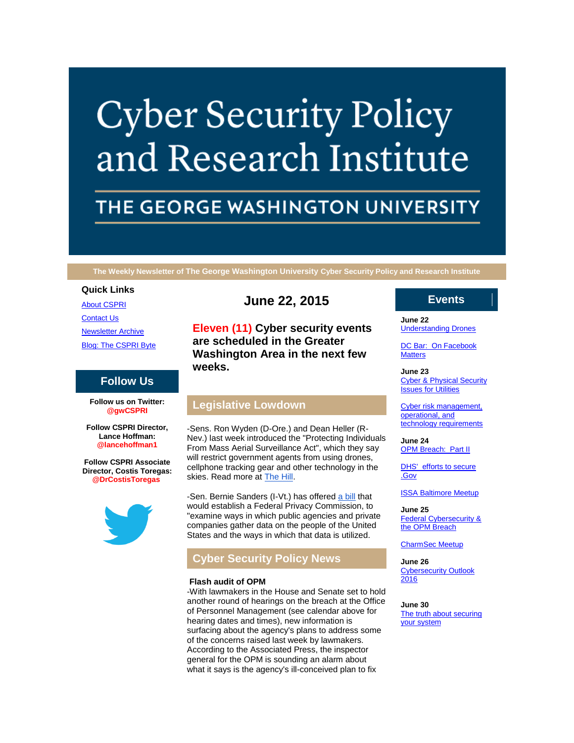# **Cyber Security Policy** and Research Institute

# THE GEORGE WASHINGTON UNIVERSITY

**The Weekly Newsletter of The George Washington University Cyber Security Policy and Research Institute**

#### **Quick Links**

[About CSPRI](http://r20.rs6.net/tn.jsp?f=001hRD0tKw82nvmw7TEaz9M2C5jxZjKqV7UufSMaEVLjaiT-V4ZELMCts_S_p7Bek21e3rv7tWZErtxJ7I26V_C4aI56T4lzRmmO1nI1UcC_4McTDi_4aRV1DPFYyPb7ipRphOezoAAtfevwCOm0fGPVcDoQol2ims8WXT4fgtLDO3ztcVF3cnOvh8AlbIRo4oc&c=PVbyd3gBwypm2CdOfTtZlsPHUue8fgwJAnH1rMbO7OFsFedVAxV6GA==&ch=idH3juC0cyFDa7j4PjIzIS5cy49F_Zim6j67YJ1DRvJqMv_i1pHoGg==) **[Contact Us](http://r20.rs6.net/tn.jsp?f=001hRD0tKw82nvmw7TEaz9M2C5jxZjKqV7UufSMaEVLjaiT-V4ZELMCts_S_p7Bek21wDYmwPYaZA0veWQXk1ERyOwhBvfXeZyCWxf-WMuT-tJv07aeFprigszYVPmGJzI4SGBqzHp6ARb52bBDvqVbsMATLnjEaRPBCWiD_b8--DMjwiyz34pzfHz0KOEVR49eD9JtCIIo4zw=&c=PVbyd3gBwypm2CdOfTtZlsPHUue8fgwJAnH1rMbO7OFsFedVAxV6GA==&ch=idH3juC0cyFDa7j4PjIzIS5cy49F_Zim6j67YJ1DRvJqMv_i1pHoGg==)** [Newsletter Archive](http://r20.rs6.net/tn.jsp?f=001hRD0tKw82nvmw7TEaz9M2C5jxZjKqV7UufSMaEVLjaiT-V4ZELMCts_S_p7Bek21G1yLIbige0jcfZVtGw4mS8BlB3XWSPVV4H-Gt5UvB2fnWe4QDICqaWkJHd7dARbx4CsjL70ntHw9MPasTXkcejjj6Unba-_WK3cNnOpekNyoD24jrkqeBbSgNzA-0_wRGqVAr4pt4Kk=&c=PVbyd3gBwypm2CdOfTtZlsPHUue8fgwJAnH1rMbO7OFsFedVAxV6GA==&ch=idH3juC0cyFDa7j4PjIzIS5cy49F_Zim6j67YJ1DRvJqMv_i1pHoGg==) [Blog: The CSPRI Byte](http://r20.rs6.net/tn.jsp?f=001hRD0tKw82nvmw7TEaz9M2C5jxZjKqV7UufSMaEVLjaiT-V4ZELMCts_S_p7Bek21bb5_m2s_ccoJLJJaPHsGnUESrA-3f6YKcS9C9uLUs68k_nWt-VHUvt8Z4PxLLHdlyOOAymz11UqaCv6ILA1BJlXldCvzyj_hMHO3b5AU5SMX4LRAI0xl2mqF7xO6dD9D&c=PVbyd3gBwypm2CdOfTtZlsPHUue8fgwJAnH1rMbO7OFsFedVAxV6GA==&ch=idH3juC0cyFDa7j4PjIzIS5cy49F_Zim6j67YJ1DRvJqMv_i1pHoGg==)

# **Follow Us**

**Follow us on Twitter: @gwCSPRI**

**Follow CSPRI Director, Lance Hoffman: @lancehoffman1**

**Follow CSPRI Associate Director, Costis Toregas: @DrCostisToregas**



# **June 22, 2015**

**Eleven (11) Cyber security events are scheduled in the Greater Washington Area in the next few weeks.**

# **Legislative Lowdown**

-Sens. Ron Wyden (D-Ore.) and Dean Heller (R-Nev.) last week introduced the "Protecting Individuals From Mass Aerial Surveillance Act", which they say will restrict government agents from using drones, cellphone tracking gear and other technology in the skies. Read more at [The Hill.](http://r20.rs6.net/tn.jsp?f=001hRD0tKw82nvmw7TEaz9M2C5jxZjKqV7UufSMaEVLjaiT-V4ZELMCtnH2bbJ3qR74e-Qg9PjgxEiOu3u7z3iCfKasOWoc2XbfKnYRr3du84dG86yOo-2WhokCtnJ8fEU1KVf3soSZ03BbYi-R0Ehx4dmLSFtRu1bYTojXIe_Z2TT2tCEOLTPKXg67iCgCFCUCzQMZTEDcDCj4g0LQVCeFAAsHnClfKIEToYAGxDRxU-FoCD1EaTC4YycWp_1HYizHLbDSwLlxLh08mdN710PK6Q==&c=PVbyd3gBwypm2CdOfTtZlsPHUue8fgwJAnH1rMbO7OFsFedVAxV6GA==&ch=idH3juC0cyFDa7j4PjIzIS5cy49F_Zim6j67YJ1DRvJqMv_i1pHoGg==)

-Sen. Bernie Sanders (I-Vt.) has offered [a bill](http://r20.rs6.net/tn.jsp?f=001hRD0tKw82nvmw7TEaz9M2C5jxZjKqV7UufSMaEVLjaiT-V4ZELMCtnH2bbJ3qR74BCRwkyP3f1cKAeXJ_64l7Do9Ng_yoLPnKXYbJrN3GYTSuFSQjslhQUc7zo8gpFHwrEGO7R8ZC4ubjXo63O2QbE2efO2EbqTvB4SW0tNLCsor1F0lckChPgTVdROXoZQawcln7Fs88wiho5NxwAC0TLWnT9Re3DCujN4exS0uLsRP_mUV4vut-CyPnWyB8J-wR-DW9K1-tBFDsthhspHbdw==&c=PVbyd3gBwypm2CdOfTtZlsPHUue8fgwJAnH1rMbO7OFsFedVAxV6GA==&ch=idH3juC0cyFDa7j4PjIzIS5cy49F_Zim6j67YJ1DRvJqMv_i1pHoGg==) that would establish a Federal Privacy Commission, to "examine ways in which public agencies and private companies gather data on the people of the United States and the ways in which that data is utilized.

# **Cyber Security Policy News**

#### **Flash audit of OPM**

-With lawmakers in the House and Senate set to hold another round of hearings on the breach at the Office of Personnel Management (see calendar above for hearing dates and times), new information is surfacing about the agency's plans to address some of the concerns raised last week by lawmakers. According to the Associated Press, the inspector general for the OPM is sounding an alarm about what it says is the agency's ill-conceived plan to fix

### **Events**

**June 22** [Understanding Drones](http://r20.rs6.net/tn.jsp?f=001hRD0tKw82nvmw7TEaz9M2C5jxZjKqV7UufSMaEVLjaiT-V4ZELMCtrFENDZ-AwUszNvbKQQNbnk_iQBB1BswGtjH9Sk1pSRvzunRV0VVLJ12akjq1fwM5n8Wc1IcxoJ3Au8JZq9diJaMUOk4ncJilccL1797ZudNH2oe9l75lnQrebVVvxqcTmjabf7ldZ34NOMmg_HW4ek=&c=PVbyd3gBwypm2CdOfTtZlsPHUue8fgwJAnH1rMbO7OFsFedVAxV6GA==&ch=idH3juC0cyFDa7j4PjIzIS5cy49F_Zim6j67YJ1DRvJqMv_i1pHoGg==)

DC Bar: On Facebook **[Matters](http://r20.rs6.net/tn.jsp?f=001hRD0tKw82nvmw7TEaz9M2C5jxZjKqV7UufSMaEVLjaiT-V4ZELMCtrFENDZ-AwUszNvbKQQNbnk_iQBB1BswGtjH9Sk1pSRvzunRV0VVLJ12akjq1fwM5n8Wc1IcxoJ3Au8JZq9diJaMUOk4ncJilccL1797ZudNH2oe9l75lnQrebVVvxqcTmjabf7ldZ34NOMmg_HW4ek=&c=PVbyd3gBwypm2CdOfTtZlsPHUue8fgwJAnH1rMbO7OFsFedVAxV6GA==&ch=idH3juC0cyFDa7j4PjIzIS5cy49F_Zim6j67YJ1DRvJqMv_i1pHoGg==)** 

**June 23 Cyber & Physical Security** [Issues for Utilities](http://r20.rs6.net/tn.jsp?f=001hRD0tKw82nvmw7TEaz9M2C5jxZjKqV7UufSMaEVLjaiT-V4ZELMCtrFENDZ-AwUszNvbKQQNbnk_iQBB1BswGtjH9Sk1pSRvzunRV0VVLJ12akjq1fwM5n8Wc1IcxoJ3Au8JZq9diJaMUOk4ncJilccL1797ZudNH2oe9l75lnQrebVVvxqcTmjabf7ldZ34NOMmg_HW4ek=&c=PVbyd3gBwypm2CdOfTtZlsPHUue8fgwJAnH1rMbO7OFsFedVAxV6GA==&ch=idH3juC0cyFDa7j4PjIzIS5cy49F_Zim6j67YJ1DRvJqMv_i1pHoGg==)

[Cyber risk management,](http://r20.rs6.net/tn.jsp?f=001hRD0tKw82nvmw7TEaz9M2C5jxZjKqV7UufSMaEVLjaiT-V4ZELMCtrFENDZ-AwUszNvbKQQNbnk_iQBB1BswGtjH9Sk1pSRvzunRV0VVLJ12akjq1fwM5n8Wc1IcxoJ3Au8JZq9diJaMUOk4ncJilccL1797ZudNH2oe9l75lnQrebVVvxqcTmjabf7ldZ34NOMmg_HW4ek=&c=PVbyd3gBwypm2CdOfTtZlsPHUue8fgwJAnH1rMbO7OFsFedVAxV6GA==&ch=idH3juC0cyFDa7j4PjIzIS5cy49F_Zim6j67YJ1DRvJqMv_i1pHoGg==)  [operational, and](http://r20.rs6.net/tn.jsp?f=001hRD0tKw82nvmw7TEaz9M2C5jxZjKqV7UufSMaEVLjaiT-V4ZELMCtrFENDZ-AwUszNvbKQQNbnk_iQBB1BswGtjH9Sk1pSRvzunRV0VVLJ12akjq1fwM5n8Wc1IcxoJ3Au8JZq9diJaMUOk4ncJilccL1797ZudNH2oe9l75lnQrebVVvxqcTmjabf7ldZ34NOMmg_HW4ek=&c=PVbyd3gBwypm2CdOfTtZlsPHUue8fgwJAnH1rMbO7OFsFedVAxV6GA==&ch=idH3juC0cyFDa7j4PjIzIS5cy49F_Zim6j67YJ1DRvJqMv_i1pHoGg==)  [technology requirements](http://r20.rs6.net/tn.jsp?f=001hRD0tKw82nvmw7TEaz9M2C5jxZjKqV7UufSMaEVLjaiT-V4ZELMCtrFENDZ-AwUszNvbKQQNbnk_iQBB1BswGtjH9Sk1pSRvzunRV0VVLJ12akjq1fwM5n8Wc1IcxoJ3Au8JZq9diJaMUOk4ncJilccL1797ZudNH2oe9l75lnQrebVVvxqcTmjabf7ldZ34NOMmg_HW4ek=&c=PVbyd3gBwypm2CdOfTtZlsPHUue8fgwJAnH1rMbO7OFsFedVAxV6GA==&ch=idH3juC0cyFDa7j4PjIzIS5cy49F_Zim6j67YJ1DRvJqMv_i1pHoGg==)

**June 24 [OPM Breach: Part II](http://r20.rs6.net/tn.jsp?f=001hRD0tKw82nvmw7TEaz9M2C5jxZjKqV7UufSMaEVLjaiT-V4ZELMCtrFENDZ-AwUszNvbKQQNbnk_iQBB1BswGtjH9Sk1pSRvzunRV0VVLJ12akjq1fwM5n8Wc1IcxoJ3Au8JZq9diJaMUOk4ncJilccL1797ZudNH2oe9l75lnQrebVVvxqcTmjabf7ldZ34NOMmg_HW4ek=&c=PVbyd3gBwypm2CdOfTtZlsPHUue8fgwJAnH1rMbO7OFsFedVAxV6GA==&ch=idH3juC0cyFDa7j4PjIzIS5cy49F_Zim6j67YJ1DRvJqMv_i1pHoGg==)** 

DHS' efforts to secure [.Gov](http://r20.rs6.net/tn.jsp?f=001hRD0tKw82nvmw7TEaz9M2C5jxZjKqV7UufSMaEVLjaiT-V4ZELMCtrFENDZ-AwUszNvbKQQNbnk_iQBB1BswGtjH9Sk1pSRvzunRV0VVLJ12akjq1fwM5n8Wc1IcxoJ3Au8JZq9diJaMUOk4ncJilccL1797ZudNH2oe9l75lnQrebVVvxqcTmjabf7ldZ34NOMmg_HW4ek=&c=PVbyd3gBwypm2CdOfTtZlsPHUue8fgwJAnH1rMbO7OFsFedVAxV6GA==&ch=idH3juC0cyFDa7j4PjIzIS5cy49F_Zim6j67YJ1DRvJqMv_i1pHoGg==)

[ISSA Baltimore Meetup](http://r20.rs6.net/tn.jsp?f=001hRD0tKw82nvmw7TEaz9M2C5jxZjKqV7UufSMaEVLjaiT-V4ZELMCtrFENDZ-AwUszNvbKQQNbnk_iQBB1BswGtjH9Sk1pSRvzunRV0VVLJ12akjq1fwM5n8Wc1IcxoJ3Au8JZq9diJaMUOk4ncJilccL1797ZudNH2oe9l75lnQrebVVvxqcTmjabf7ldZ34NOMmg_HW4ek=&c=PVbyd3gBwypm2CdOfTtZlsPHUue8fgwJAnH1rMbO7OFsFedVAxV6GA==&ch=idH3juC0cyFDa7j4PjIzIS5cy49F_Zim6j67YJ1DRvJqMv_i1pHoGg==)

**June 25** [Federal Cybersecurity &](http://r20.rs6.net/tn.jsp?f=001hRD0tKw82nvmw7TEaz9M2C5jxZjKqV7UufSMaEVLjaiT-V4ZELMCtrFENDZ-AwUszNvbKQQNbnk_iQBB1BswGtjH9Sk1pSRvzunRV0VVLJ12akjq1fwM5n8Wc1IcxoJ3Au8JZq9diJaMUOk4ncJilccL1797ZudNH2oe9l75lnQrebVVvxqcTmjabf7ldZ34NOMmg_HW4ek=&c=PVbyd3gBwypm2CdOfTtZlsPHUue8fgwJAnH1rMbO7OFsFedVAxV6GA==&ch=idH3juC0cyFDa7j4PjIzIS5cy49F_Zim6j67YJ1DRvJqMv_i1pHoGg==)  [the OPM Breach](http://r20.rs6.net/tn.jsp?f=001hRD0tKw82nvmw7TEaz9M2C5jxZjKqV7UufSMaEVLjaiT-V4ZELMCtrFENDZ-AwUszNvbKQQNbnk_iQBB1BswGtjH9Sk1pSRvzunRV0VVLJ12akjq1fwM5n8Wc1IcxoJ3Au8JZq9diJaMUOk4ncJilccL1797ZudNH2oe9l75lnQrebVVvxqcTmjabf7ldZ34NOMmg_HW4ek=&c=PVbyd3gBwypm2CdOfTtZlsPHUue8fgwJAnH1rMbO7OFsFedVAxV6GA==&ch=idH3juC0cyFDa7j4PjIzIS5cy49F_Zim6j67YJ1DRvJqMv_i1pHoGg==)

[CharmSec Meetup](http://r20.rs6.net/tn.jsp?f=001hRD0tKw82nvmw7TEaz9M2C5jxZjKqV7UufSMaEVLjaiT-V4ZELMCtrFENDZ-AwUszNvbKQQNbnk_iQBB1BswGtjH9Sk1pSRvzunRV0VVLJ12akjq1fwM5n8Wc1IcxoJ3Au8JZq9diJaMUOk4ncJilccL1797ZudNH2oe9l75lnQrebVVvxqcTmjabf7ldZ34NOMmg_HW4ek=&c=PVbyd3gBwypm2CdOfTtZlsPHUue8fgwJAnH1rMbO7OFsFedVAxV6GA==&ch=idH3juC0cyFDa7j4PjIzIS5cy49F_Zim6j67YJ1DRvJqMv_i1pHoGg==)

**June 26 Cybersecurity Outlook** [2016](http://r20.rs6.net/tn.jsp?f=001hRD0tKw82nvmw7TEaz9M2C5jxZjKqV7UufSMaEVLjaiT-V4ZELMCtrFENDZ-AwUszNvbKQQNbnk_iQBB1BswGtjH9Sk1pSRvzunRV0VVLJ12akjq1fwM5n8Wc1IcxoJ3Au8JZq9diJaMUOk4ncJilccL1797ZudNH2oe9l75lnQrebVVvxqcTmjabf7ldZ34NOMmg_HW4ek=&c=PVbyd3gBwypm2CdOfTtZlsPHUue8fgwJAnH1rMbO7OFsFedVAxV6GA==&ch=idH3juC0cyFDa7j4PjIzIS5cy49F_Zim6j67YJ1DRvJqMv_i1pHoGg==)

**June 30** [The truth about securing](http://r20.rs6.net/tn.jsp?f=001hRD0tKw82nvmw7TEaz9M2C5jxZjKqV7UufSMaEVLjaiT-V4ZELMCtrFENDZ-AwUszNvbKQQNbnk_iQBB1BswGtjH9Sk1pSRvzunRV0VVLJ12akjq1fwM5n8Wc1IcxoJ3Au8JZq9diJaMUOk4ncJilccL1797ZudNH2oe9l75lnQrebVVvxqcTmjabf7ldZ34NOMmg_HW4ek=&c=PVbyd3gBwypm2CdOfTtZlsPHUue8fgwJAnH1rMbO7OFsFedVAxV6GA==&ch=idH3juC0cyFDa7j4PjIzIS5cy49F_Zim6j67YJ1DRvJqMv_i1pHoGg==)  [your system](http://r20.rs6.net/tn.jsp?f=001hRD0tKw82nvmw7TEaz9M2C5jxZjKqV7UufSMaEVLjaiT-V4ZELMCtrFENDZ-AwUszNvbKQQNbnk_iQBB1BswGtjH9Sk1pSRvzunRV0VVLJ12akjq1fwM5n8Wc1IcxoJ3Au8JZq9diJaMUOk4ncJilccL1797ZudNH2oe9l75lnQrebVVvxqcTmjabf7ldZ34NOMmg_HW4ek=&c=PVbyd3gBwypm2CdOfTtZlsPHUue8fgwJAnH1rMbO7OFsFedVAxV6GA==&ch=idH3juC0cyFDa7j4PjIzIS5cy49F_Zim6j67YJ1DRvJqMv_i1pHoGg==)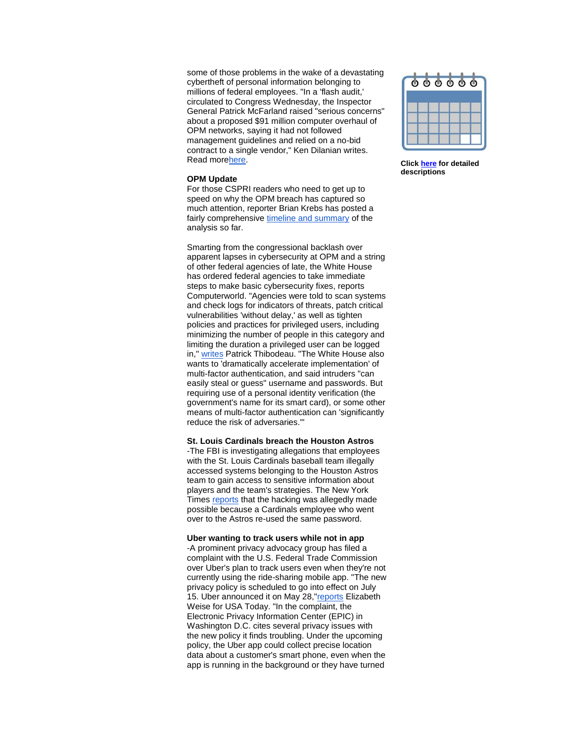some of those problems in the wake of a devastating cybertheft of personal information belonging to millions of federal employees. "In a 'flash audit,' circulated to Congress Wednesday, the Inspector General Patrick McFarland raised "serious concerns" about a proposed \$91 million computer overhaul of OPM networks, saying it had not followed management guidelines and relied on a no-bid contract to a single vendor," Ken Dilanian writes. Read mor[ehere.](http://r20.rs6.net/tn.jsp?f=001hRD0tKw82nvmw7TEaz9M2C5jxZjKqV7UufSMaEVLjaiT-V4ZELMCtnH2bbJ3qR74OnwMYK_LUWoZVBefh2-HzvXjABfVblCVC_ad2lhDZCOetFrJOJUZjCIVt6QZwvUNT6i-i8EUP-1Isg19lurZh8Rrt0Dd0SgH-1SQ9ERPxxwzmgjesxQfrLSevqp12BzUbvKTXD7CCAedgVI84wVKciqrtE7EVaDntGGAJsWbwJqDkH_cLZ-m9cyvU0P__OZB1fzLdBDPr7aRO3LngD0c_h3Z4NuYpX0a_Purbq2qjdJ__S28HCO7tEMDuVfz2i4X7qYUUA79U79UWayGg7rVlQ==&c=PVbyd3gBwypm2CdOfTtZlsPHUue8fgwJAnH1rMbO7OFsFedVAxV6GA==&ch=idH3juC0cyFDa7j4PjIzIS5cy49F_Zim6j67YJ1DRvJqMv_i1pHoGg==)

#### **OPM Update**

For those CSPRI readers who need to get up to speed on why the OPM breach has captured so much attention, reporter Brian Krebs has posted a fairly comprehensive [timeline and summary](http://r20.rs6.net/tn.jsp?f=001hRD0tKw82nvmw7TEaz9M2C5jxZjKqV7UufSMaEVLjaiT-V4ZELMCtnH2bbJ3qR744ZQDUj1QdL2hA6uoxC4yQUoRRRP2WjweUGkogNyGp25PMwscrVe4x8nkI3N3Na8grB0Q2mE1TXcicylidIgghQVlVFvSQDYCooAaxwkFsW9yc0i4X1tgV6vUUGKbYlffkJUyTS-gCMxE7nG3H96Pm9i5TEh_gTrRQrw506utQCg=&c=PVbyd3gBwypm2CdOfTtZlsPHUue8fgwJAnH1rMbO7OFsFedVAxV6GA==&ch=idH3juC0cyFDa7j4PjIzIS5cy49F_Zim6j67YJ1DRvJqMv_i1pHoGg==) of the analysis so far.

Smarting from the congressional backlash over apparent lapses in cybersecurity at OPM and a string of other federal agencies of late, the White House has ordered federal agencies to take immediate steps to make basic cybersecurity fixes, reports Computerworld. "Agencies were told to scan systems and check logs for indicators of threats, patch critical vulnerabilities 'without delay,' as well as tighten policies and practices for privileged users, including minimizing the number of people in this category and limiting the duration a privileged user can be logged in," [writes](http://r20.rs6.net/tn.jsp?f=001hRD0tKw82nvmw7TEaz9M2C5jxZjKqV7UufSMaEVLjaiT-V4ZELMCtnH2bbJ3qR74bGx4iKUOHWM_tXlxR8C2GVElX_lbZ-kTakNqqnIHaV_TkCHzSjqQVY7glYss2jv0UjgASqZbTEN5bqHLhC1ynrFREtMvl2-i9biF__eoX9_e0R8k3IWP59YbAqKv2VoqqfgWlVnYGkFDmj3aImzxKbvTTpOimgwQvzKBizCWEQ2J_Jz3gaBgUnNlx2uOL3u9cyP_a0r9Db9UPflRZoSvKrDDT7-9T8l5rq4ntD2VXB8=&c=PVbyd3gBwypm2CdOfTtZlsPHUue8fgwJAnH1rMbO7OFsFedVAxV6GA==&ch=idH3juC0cyFDa7j4PjIzIS5cy49F_Zim6j67YJ1DRvJqMv_i1pHoGg==) Patrick Thibodeau. "The White House also wants to 'dramatically accelerate implementation' of multi-factor authentication, and said intruders "can easily steal or guess" username and passwords. But requiring use of a personal identity verification (the government's name for its smart card), or some other means of multi-factor authentication can 'significantly reduce the risk of adversaries.'"

#### **St. Louis Cardinals breach the Houston Astros**

-The FBI is investigating allegations that employees with the St. Louis Cardinals baseball team illegally accessed systems belonging to the Houston Astros team to gain access to sensitive information about players and the team's strategies. The New York Times [reports](http://r20.rs6.net/tn.jsp?f=001hRD0tKw82nvmw7TEaz9M2C5jxZjKqV7UufSMaEVLjaiT-V4ZELMCtnH2bbJ3qR74wDQX4pCYWXZc1__EpKBz6idprT59X4E54LrcTuZR-Kupt-C-BIGLRxKPvHJrPRPIzzG9UNo-WrrNv20v9qE40ax0AIwx0Ro6m79rNi66XnP5Qm3_8QEUmeGPY8DrlRH_qNFYWyN-dftFFuU-1KrvVfwdqQNrH8PHn0p-yQwmfZWsNct0f83vNWU-1SGBvdbz5rzrhzdsKHBxiG6Qoj9emSbmhfblV1jh&c=PVbyd3gBwypm2CdOfTtZlsPHUue8fgwJAnH1rMbO7OFsFedVAxV6GA==&ch=idH3juC0cyFDa7j4PjIzIS5cy49F_Zim6j67YJ1DRvJqMv_i1pHoGg==) that the hacking was allegedly made possible because a Cardinals employee who went over to the Astros re-used the same password.

#### **Uber wanting to track users while not in app**

-A prominent privacy advocacy group has filed a complaint with the U.S. Federal Trade Commission over Uber's plan to track users even when they're not currently using the ride-sharing mobile app. "The new privacy policy is scheduled to go into effect on July 15. Uber announced it on May 28,["reports](http://r20.rs6.net/tn.jsp?f=001hRD0tKw82nvmw7TEaz9M2C5jxZjKqV7UufSMaEVLjaiT-V4ZELMCtnH2bbJ3qR74X57pCP61iGWmOtjMut7dniXo3aku2Rvm3xXV-njiONXfrIo450eA71k8eYtP9DJGHqG0CKgHxbr6yrreEKOnyhNKBCPNZZDFjcmHXIWQC7GDJVFPPYILZaywxdY2AD6gtch2dwKAQQzQkuxBDR2bVNjZWkRR9XIS0WqI_4mo4-_js_IVIhjTPd7VHMsMS2-Xjdmv71BD-vM_brbrHJEl4w==&c=PVbyd3gBwypm2CdOfTtZlsPHUue8fgwJAnH1rMbO7OFsFedVAxV6GA==&ch=idH3juC0cyFDa7j4PjIzIS5cy49F_Zim6j67YJ1DRvJqMv_i1pHoGg==) Elizabeth Weise for USA Today. "In the complaint, the Electronic Privacy Information Center (EPIC) in Washington D.C. cites several privacy issues with the new policy it finds troubling. Under the upcoming policy, the Uber app could collect precise location data about a customer's smart phone, even when the app is running in the background or they have turned



**Click [here](http://r20.rs6.net/tn.jsp?f=001hRD0tKw82nvmw7TEaz9M2C5jxZjKqV7UufSMaEVLjaiT-V4ZELMCts_S_p7Bek210Byk9M7yc0DGLfcm4dpGgpEXxP7l1vR8pxx65pSxaivOX1t_7RoHrj0sKvD-cRCzzRKie2GWwRnsVPd0e2xv3xQKRKyhUsXDTmOiDT5YmM-y3XQgFaS9ZRA-m44dHtyylTpQDhXmgWEezFtJI19GzA==&c=PVbyd3gBwypm2CdOfTtZlsPHUue8fgwJAnH1rMbO7OFsFedVAxV6GA==&ch=idH3juC0cyFDa7j4PjIzIS5cy49F_Zim6j67YJ1DRvJqMv_i1pHoGg==) for detailed descriptions**